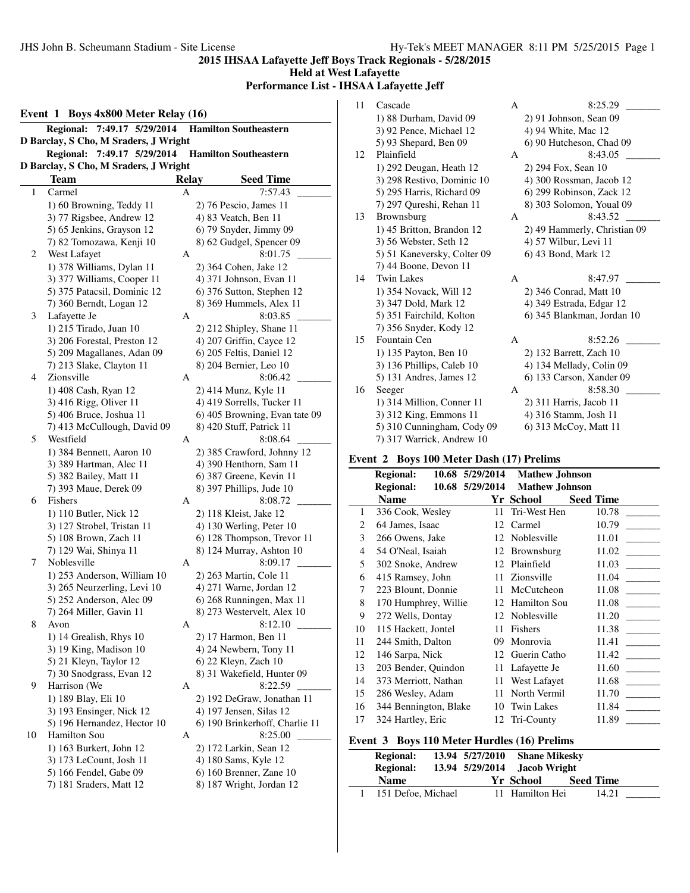**Held at West Lafayette**

**Performance List - IHSAA Lafayette Jeff**

|    | Event 1 Boys 4x800 Meter Relay (16)   |              |                                |
|----|---------------------------------------|--------------|--------------------------------|
|    | 7:49.17 5/29/2014<br><b>Regional:</b> |              | <b>Hamilton Southeastern</b>   |
|    | D Barclay, S Cho, M Sraders, J Wright |              |                                |
|    | Regional: 7:49.17 5/29/2014           |              | <b>Hamilton Southeastern</b>   |
|    | D Barclay, S Cho, M Sraders, J Wright |              |                                |
|    | <b>Team</b>                           | <b>Relay</b> | <b>Seed Time</b>               |
| 1  | Carmel                                | А            | 7:57.43                        |
|    | 1) 60 Browning, Teddy 11              |              | 2) 76 Pescio, James 11         |
|    | 3) 77 Rigsbee, Andrew 12              |              | 4) 83 Veatch, Ben 11           |
|    | 5) 65 Jenkins, Grayson 12             |              | 6) 79 Snyder, Jimmy 09         |
|    | 7) 82 Tomozawa, Kenji 10              |              | 8) 62 Gudgel, Spencer 09       |
| 2  | West Lafayet                          | А            | 8:01.75                        |
|    | 1) 378 Williams, Dylan 11             |              | 2) 364 Cohen, Jake 12          |
|    | 3) 377 Williams, Cooper 11            |              | 4) 371 Johnson, Evan 11        |
|    | 5) 375 Patacsil, Dominic 12           |              | 6) 376 Sutton, Stephen 12      |
|    | 7) 360 Berndt, Logan 12               |              | 8) 369 Hummels, Alex 11        |
| 3  | Lafayette Je                          | A            | 8:03.85                        |
|    | 1) 215 Tirado, Juan 10                |              | 2) 212 Shipley, Shane 11       |
|    | 3) 206 Forestal, Preston 12           |              | 4) 207 Griffin, Cayce 12       |
|    | 5) 209 Magallanes, Adan 09            |              | 6) 205 Feltis, Daniel 12       |
|    | 7) 213 Slake, Clayton 11              |              | 8) 204 Bernier, Leo 10         |
| 4  | Zionsville                            | А            | 8:06.42                        |
|    | 1) 408 Cash, Ryan 12                  |              | 2) 414 Munz, Kyle 11           |
|    | 3) 416 Rigg, Oliver 11                |              | 4) 419 Sorrells, Tucker 11     |
|    | 5) 406 Bruce, Joshua 11               |              | 6) 405 Browning, Evan tate 09  |
|    | 7) 413 McCullough, David 09           |              | 8) 420 Stuff, Patrick 11       |
| 5  | Westfield                             | А            | 8:08.64                        |
|    | 1) 384 Bennett, Aaron 10              |              | 2) 385 Crawford, Johnny 12     |
|    | 3) 389 Hartman, Alec 11               |              | 4) 390 Henthorn, Sam 11        |
|    | 5) 382 Bailey, Matt 11                |              | 6) 387 Greene, Kevin 11        |
|    | 7) 393 Maue, Derek 09                 |              | 8) 397 Phillips, Jude 10       |
| 6  | Fishers                               | А            | 8:08.72                        |
|    | 1) 110 Butler, Nick 12                |              | 2) 118 Kleist, Jake 12         |
|    | 3) 127 Strobel, Tristan 11            |              | 4) 130 Werling, Peter 10       |
|    | 5) 108 Brown, Zach 11                 |              | 6) 128 Thompson, Trevor 11     |
|    | 7) 129 Wai, Shinya 11                 |              | 8) 124 Murray, Ashton 10       |
| 7  | Noblesville                           | A            | 8:09.17                        |
|    | 1) 253 Anderson, William 10           |              | 2) 263 Martin, Cole 11         |
|    | 3) 265 Neurzerling, Levi 10           |              | 4) 271 Warne, Jordan 12        |
|    | 5) 252 Anderson, Alec 09              |              | 6) 268 Runningen, Max 11       |
|    | 7) 264 Miller, Gavin 11               |              | 8) 273 Westervelt, Alex 10     |
| 8  | Avon                                  | A            | 8:12.10                        |
|    | 1) 14 Grealish, Rhys 10               |              | 2) 17 Harmon, Ben 11           |
|    | 3) 19 King, Madison 10                |              | 4) 24 Newbern, Tony 11         |
|    | 5) 21 Kleyn, Taylor 12                |              | 6) 22 Kleyn, Zach 10           |
|    | 7) 30 Snodgrass, Evan 12              |              | 8) 31 Wakefield, Hunter 09     |
| 9  | Harrison (We                          | А            | 8:22.59                        |
|    | 1) 189 Blay, Eli 10                   |              | 2) 192 DeGraw, Jonathan 11     |
|    | 3) 193 Ensinger, Nick 12              |              | 4) 197 Jensen, Silas 12        |
|    | 5) 196 Hernandez, Hector 10           |              | 6) 190 Brinkerhoff, Charlie 11 |
| 10 | Hamilton Sou                          | A            | 8:25.00                        |
|    | 1) 163 Burkert, John 12               |              | 2) 172 Larkin, Sean 12         |
|    | 3) 173 LeCount, Josh 11               |              | 4) 180 Sams, Kyle 12           |
|    | 5) 166 Fendel, Gabe 09                |              | 6) 160 Brenner, Zane 10        |
|    | 7) 181 Sraders, Matt 12               |              | 8) 187 Wright, Jordan 12       |

| 11 | Cascade                     | A | 8:25.29                      |
|----|-----------------------------|---|------------------------------|
|    | 1) 88 Durham, David 09      |   | $2)$ 91 Johnson, Sean 09     |
|    | 3) 92 Pence, Michael 12     |   | 4) 94 White, Mac 12          |
|    | 5) 93 Shepard, Ben 09       |   | 6) 90 Hutcheson, Chad 09     |
| 12 | Plainfield                  | A | 8:43.05                      |
|    | 1) 292 Deugan, Heath 12     |   | 2) 294 Fox, Sean 10          |
|    | 3) 298 Restivo, Dominic 10  |   | 4) 300 Rossman, Jacob 12     |
|    | 5) 295 Harris, Richard 09   |   | 6) 299 Robinson, Zack 12     |
|    | 7) 297 Qureshi, Rehan 11    |   | 8) 303 Solomon, Youal 09     |
| 13 | <b>Brownsburg</b>           | A | 8:43.52                      |
|    | 1) 45 Britton, Brandon 12   |   | 2) 49 Hammerly, Christian 09 |
|    | 3) 56 Webster, Seth 12      |   | 4) 57 Wilbur, Levi 11        |
|    | 5) 51 Kaneversky, Colter 09 |   | 6) 43 Bond, Mark 12          |
|    | 7) 44 Boone, Devon 11       |   |                              |
| 14 | <b>Twin Lakes</b>           | A | 8:47.97                      |
|    | 1) 354 Novack, Will 12      |   | 2) 346 Conrad, Matt 10       |
|    | 3) 347 Dold, Mark 12        |   | 4) 349 Estrada, Edgar 12     |
|    | 5) 351 Fairchild, Kolton    |   | 6) 345 Blankman, Jordan 10   |
|    | 7) 356 Snyder, Kody 12      |   |                              |
| 15 | Fountain Cen                | A | 8:52.26                      |
|    | 1) 135 Payton, Ben 10       |   | 2) 132 Barrett, Zach 10      |
|    | 3) 136 Phillips, Caleb 10   |   | 4) 134 Mellady, Colin 09     |
|    | 5) 131 Andres, James 12     |   | 6) 133 Carson, Xander 09     |
| 16 | Seeger                      | A | 8:58.30                      |
|    | 1) 314 Million, Conner 11   |   | 2) 311 Harris, Jacob 11      |
|    | 3) 312 King, Emmons 11      |   | 4) 316 Stamm, Josh 11        |
|    | 5) 310 Cunningham, Cody 09  |   | 6) 313 McCoy, Matt 11        |
|    | 7) 317 Warrick, Andrew 10   |   |                              |

### **Event 2 Boys 100 Meter Dash (17) Prelims**

|                | <b>Regional:</b>      | 10.68 5/29/2014 | <b>Mathew Johnson</b> |                  |
|----------------|-----------------------|-----------------|-----------------------|------------------|
|                | <b>Regional:</b>      | 10.68 5/29/2014 | <b>Mathew Johnson</b> |                  |
|                | <b>Name</b>           |                 | Yr School             | <b>Seed Time</b> |
| 1              | 336 Cook, Wesley      | 11              | Tri-West Hen          | 10.78            |
| 2              | 64 James, Isaac       | 12              | Carmel                | 10.79            |
| 3              | 266 Owens, Jake       | 12              | Noblesville           | 11.01            |
| $\overline{4}$ | 54 O'Neal, Isaiah     | 12              | Brownsburg            | 11.02            |
| 5              | 302 Snoke, Andrew     | 12              | Plainfield            | 11.03            |
| 6              | 415 Ramsey, John      | 11              | Zionsville            | 11.04            |
| 7              | 223 Blount, Donnie    | 11              | McCutcheon            | 11.08            |
| 8              | 170 Humphrey, Willie  | 12              | <b>Hamilton Sou</b>   | 11.08            |
| 9              | 272 Wells, Dontay     | 12              | Noblesville           | 11.20            |
| 10             | 115 Hackett, Jontel   | 11              | Fishers               | 11.38            |
| 11             | 244 Smith, Dalton     | 09              | Monrovia              | 11.41            |
| 12             | 146 Sarpa, Nick       | 12              | Guerin Catho          | 11.42            |
| 13             | 203 Bender, Quindon   | 11              | Lafayette Je          | 11.60            |
| 14             | 373 Merriott, Nathan  | 11              | West Lafayet          | 11.68            |
| 15             | 286 Wesley, Adam      | 11              | North Vermil          | 11.70            |
| 16             | 344 Bennington, Blake | 10              | <b>Twin Lakes</b>     | 11.84            |
| 17             | 324 Hartley, Eric     | 12              | Tri-County            | 11.89            |
|                |                       |                 |                       |                  |

# **Event 3 Boys 110 Meter Hurdles (16) Prelims**

| <b>Regional:</b>   | 13.94 5/27/2010 | <b>Shane Mikesky</b>         |                  |  |
|--------------------|-----------------|------------------------------|------------------|--|
| <b>Regional:</b>   |                 | 13.94 5/29/2014 Jacob Wright |                  |  |
| <b>Name</b>        |                 | Yr School                    | <b>Seed Time</b> |  |
| 151 Defoe, Michael |                 | 11 Hamilton Hei              | 14.21            |  |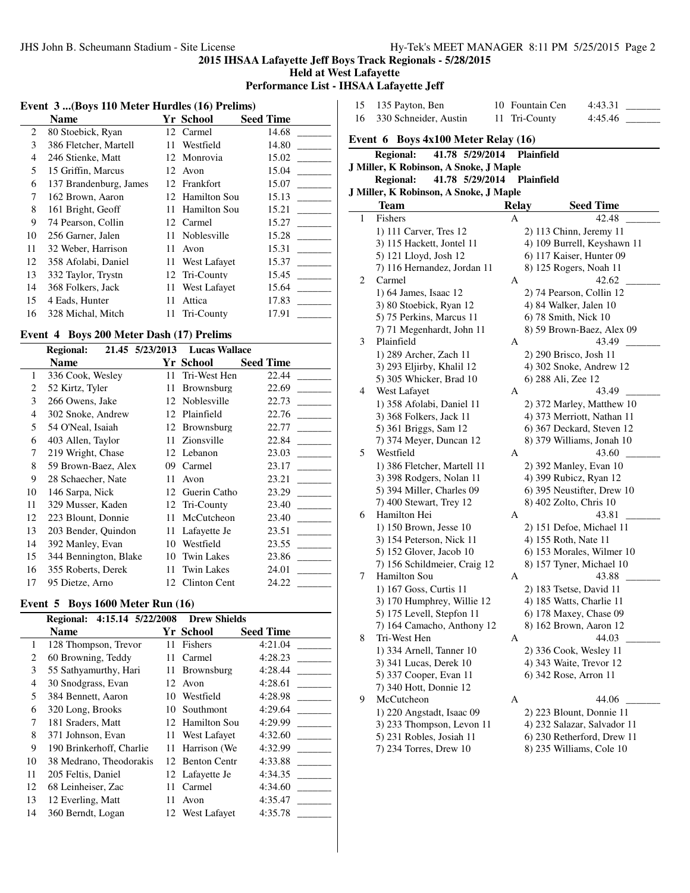**Held at West Lafayette**

 $\overline{\phantom{a}}$ 

**Performance List - IHSAA Lafayette Jeff**

## **Event 3 ...(Boys 110 Meter Hurdles (16) Prelims)**

| <b>Name</b>            |    |                     | <b>Seed Time</b>                                                         |
|------------------------|----|---------------------|--------------------------------------------------------------------------|
| 80 Stoebick, Ryan      | 12 | Carmel              | 14.68                                                                    |
| 386 Fletcher, Martell  | 11 | Westfield           | 14.80                                                                    |
| 246 Stienke, Matt      | 12 |                     | 15.02                                                                    |
| 15 Griffin, Marcus     |    |                     | 15.04                                                                    |
| 137 Brandenburg, James |    |                     | 15.07                                                                    |
| 162 Brown, Aaron       | 12 | <b>Hamilton Sou</b> | 15.13                                                                    |
| 161 Bright, Geoff      | 11 | Hamilton Sou        | 15.21                                                                    |
| 74 Pearson, Collin     | 12 |                     | 15.27                                                                    |
| 256 Garner, Jalen      | 11 | Noblesville         | 15.28                                                                    |
| 32 Weber, Harrison     | 11 | Avon                | 15.31                                                                    |
| 358 Afolabi, Daniel    | 11 | West Lafayet        | 15.37                                                                    |
| 332 Taylor, Trystn     | 12 |                     | 15.45                                                                    |
| 368 Folkers, Jack      | 11 | West Lafayet        | 15.64                                                                    |
| 4 Eads, Hunter         | 11 | Attica              | 17.83                                                                    |
| 328 Michal, Mitch      | 11 | Tri-County          | 17.91                                                                    |
|                        |    |                     | Yr School<br>Monrovia<br>12 Avon<br>12 Frankfort<br>Carmel<br>Tri-County |

# **Event 4 Boys 200 Meter Dash (17) Prelims**

|    | <b>Regional:</b>      | 21.45 5/23/2013 | <b>Lucas Wallace</b> |                  |
|----|-----------------------|-----------------|----------------------|------------------|
|    | <b>Name</b>           |                 | Yr School            | <b>Seed Time</b> |
| 1  | 336 Cook, Wesley      | 11              | Tri-West Hen         | 22.44            |
| 2  | 52 Kirtz, Tyler       | 11              | <b>Brownsburg</b>    | 22.69            |
| 3  | 266 Owens, Jake       | 12              | Noblesville          | 22.73            |
| 4  | 302 Snoke, Andrew     |                 | 12 Plainfield        | 22.76            |
| 5  | 54 O'Neal, Isaiah     |                 | 12 Brownsburg        | 22.77            |
| 6  | 403 Allen, Taylor     |                 | 11 Zionsville        | 22.84            |
| 7  | 219 Wright, Chase     |                 | 12 Lebanon           | 23.03            |
| 8  | 59 Brown-Baez, Alex   | 09              | Carmel               | 23.17            |
| 9  | 28 Schaecher, Nate    | 11              | Avon                 | 23.21            |
| 10 | 146 Sarpa, Nick       | 12              | Guerin Catho         | 23.29            |
| 11 | 329 Musser, Kaden     |                 | 12 Tri-County        | 23.40            |
| 12 | 223 Blount, Donnie    | 11              | McCutcheon           | 23.40            |
| 13 | 203 Bender, Quindon   | 11              | Lafayette Je         | 23.51            |
| 14 | 392 Manley, Evan      | 10              | Westfield            | 23.55            |
| 15 | 344 Bennington, Blake | 10              | <b>Twin Lakes</b>    | 23.86            |
| 16 | 355 Roberts, Derek    | 11              | <b>Twin Lakes</b>    | 24.01            |
| 17 | 95 Dietze, Arno       | 12.             | Clinton Cent         | 24.22            |

# **Event 5 Boys 1600 Meter Run (16)**

|    | 4:15.14 5/22/2008<br><b>Regional:</b> |    | <b>Drew Shields</b> |                  |
|----|---------------------------------------|----|---------------------|------------------|
|    | <b>Name</b>                           |    | Yr School           | <b>Seed Time</b> |
| 1  | 128 Thompson, Trevor                  | 11 | Fishers             | 4:21.04          |
| 2  | 60 Browning, Teddy                    | 11 | Carmel              | 4:28.23          |
| 3  | 55 Sathyamurthy, Hari                 | 11 | Brownsburg          | 4:28.44          |
| 4  | 30 Snodgrass, Evan                    | 12 | Avon                | 4:28.61          |
| 5  | 384 Bennett, Aaron                    | 10 | Westfield           | 4:28.98          |
| 6  | 320 Long, Brooks                      | 10 | Southmont           | 4:29.64          |
| 7  | 181 Sraders, Matt                     | 12 | Hamilton Sou        | 4:29.99          |
| 8  | 371 Johnson, Evan                     | 11 | West Lafayet        | 4:32.60          |
| 9  | 190 Brinkerhoff, Charlie              | 11 | Harrison (We        | 4:32.99          |
| 10 | 38 Medrano, Theodorakis               |    | 12 Benton Centr     | 4:33.88          |
| 11 | 205 Feltis, Daniel                    |    | 12 Lafayette Je     | 4:34.35          |
| 12 | 68 Leinheiser, Zac                    | 11 | Carmel              | 4:34.60          |
| 13 | 12 Everling, Matt                     | 11 | Avon                | 4:35.47          |
| 14 | 360 Berndt, Logan                     | 12 | West Lafavet        | 4:35.78          |

| 15 | 135 Payton, Ben                                      |       | 10 Fountain Cen                                     | 4:43.31                           |
|----|------------------------------------------------------|-------|-----------------------------------------------------|-----------------------------------|
| 16 | 330 Schneider, Austin                                | 11    | Tri-County                                          | 4:45.46                           |
|    | Event $6$ Boys 4x100 Meter Relay $(16)$              |       |                                                     |                                   |
|    | 41.78 5/29/2014<br><b>Regional:</b>                  |       | <b>Plainfield</b>                                   |                                   |
|    | J Miller, K Robinson, A Snoke, J Maple               |       |                                                     |                                   |
|    | <b>Regional:</b><br>41.78 5/29/2014                  |       | Plainfield                                          |                                   |
|    | J Miller, K Robinson, A Snoke, J Maple               |       |                                                     |                                   |
|    | Team                                                 | Relay |                                                     | <b>Seed Time</b>                  |
| 1  | Fishers                                              | A     |                                                     | 42.48                             |
|    | 1) 111 Carver, Tres 12                               |       | 2) 113 Chinn, Jeremy 11                             |                                   |
|    | 3) 115 Hackett, Jontel 11                            |       |                                                     | 4) 109 Burrell, Keyshawn 11       |
|    | 5) 121 Lloyd, Josh 12<br>7) 116 Hernandez, Jordan 11 |       |                                                     | 6) 117 Kaiser, Hunter 09          |
| 2  | Carmel                                               | A     | 8) 125 Rogers, Noah 11                              | 42.62                             |
|    | 1) 64 James, Isaac 12                                |       |                                                     |                                   |
|    | 3) 80 Stoebick, Ryan 12                              |       | 2) 74 Pearson, Collin 12<br>4) 84 Walker, Jalen 10  |                                   |
|    | 5) 75 Perkins, Marcus 11                             |       | 6) 78 Smith, Nick 10                                |                                   |
|    | 7) 71 Megenhardt, John 11                            |       |                                                     | 8) 59 Brown-Baez, Alex 09         |
| 3  | Plainfield                                           | А     |                                                     | 43.49                             |
|    | 1) 289 Archer, Zach 11                               |       | 2) 290 Brisco, Josh 11                              |                                   |
|    | 3) 293 Eljirby, Khalil 12                            |       |                                                     | 4) 302 Snoke, Andrew 12           |
|    | 5) 305 Whicker, Brad 10                              |       | 6) 288 Ali, Zee 12                                  |                                   |
| 4  | West Lafayet                                         | A     |                                                     | 43.49                             |
|    | 1) 358 Afolabi, Daniel 11                            |       |                                                     | 2) 372 Marley, Matthew 10         |
|    | 3) 368 Folkers, Jack 11                              |       |                                                     | 4) 373 Merriott, Nathan 11        |
|    | 5) 361 Briggs, Sam 12                                |       |                                                     | 6) 367 Deckard, Steven 12         |
|    | 7) 374 Meyer, Duncan 12                              |       |                                                     | 8) 379 Williams, Jonah 10         |
| 5  | Westfield                                            | A     |                                                     | 43.60                             |
|    | 1) 386 Fletcher, Martell 11                          |       | 2) 392 Manley, Evan 10                              |                                   |
|    | 3) 398 Rodgers, Nolan 11                             |       | 4) 399 Rubicz, Ryan 12                              |                                   |
|    | 5) 394 Miller, Charles 09                            |       |                                                     | 6) 395 Neustifter, Drew 10        |
|    | 7) 400 Stewart, Trey 12                              |       | 8) 402 Zolto, Chris 10                              |                                   |
| 6  | Hamilton Hei                                         | А     |                                                     | 43.81                             |
|    | 1) 150 Brown, Jesse 10                               |       |                                                     | 2) 151 Defoe, Michael 11          |
|    | 3) 154 Peterson, Nick 11                             |       | 4) 155 Roth, Nate 11                                |                                   |
|    | 5) 152 Glover, Jacob 10                              |       |                                                     | 6) 153 Morales, Wilmer 10         |
| 7  | 7) 156 Schildmeier, Craig 12<br>Hamilton Sou         |       |                                                     | 8) 157 Tyner, Michael 10<br>43.88 |
|    |                                                      | A     |                                                     |                                   |
|    | 1) 167 Goss, Curtis 11<br>3) 170 Humphrey, Willie 12 |       | 2) 183 Tsetse, David 11<br>4) 185 Watts, Charlie 11 |                                   |
|    | 5) 175 Levell, Stepfon 11                            |       | 6) 178 Maxey, Chase 09                              |                                   |
|    | 7) 164 Camacho, Anthony 12                           |       | 8) 162 Brown, Aaron 12                              |                                   |
| 8  | Tri-West Hen                                         | A     |                                                     | 44.03                             |
|    | 1) 334 Arnell, Tanner 10                             |       | 2) 336 Cook, Wesley 11                              |                                   |
|    | 3) 341 Lucas, Derek 10                               |       | 4) 343 Waite, Trevor 12                             |                                   |
|    | 5) 337 Cooper, Evan 11                               |       | 6) 342 Rose, Arron 11                               |                                   |
|    | 7) 340 Hott, Donnie 12                               |       |                                                     |                                   |
| 9  | McCutcheon                                           | А     |                                                     | 44.06                             |
|    | 1) 220 Angstadt, Isaac 09                            |       |                                                     | 2) 223 Blount, Donnie 11          |
|    | 3) 233 Thompson, Levon 11                            |       |                                                     | 4) 232 Salazar, Salvador 11       |
|    | 5) 231 Robles, Josiah 11                             |       |                                                     | 6) 230 Retherford, Drew 11        |
|    | 7) 234 Torres, Drew 10                               |       |                                                     | 8) 235 Williams, Cole 10          |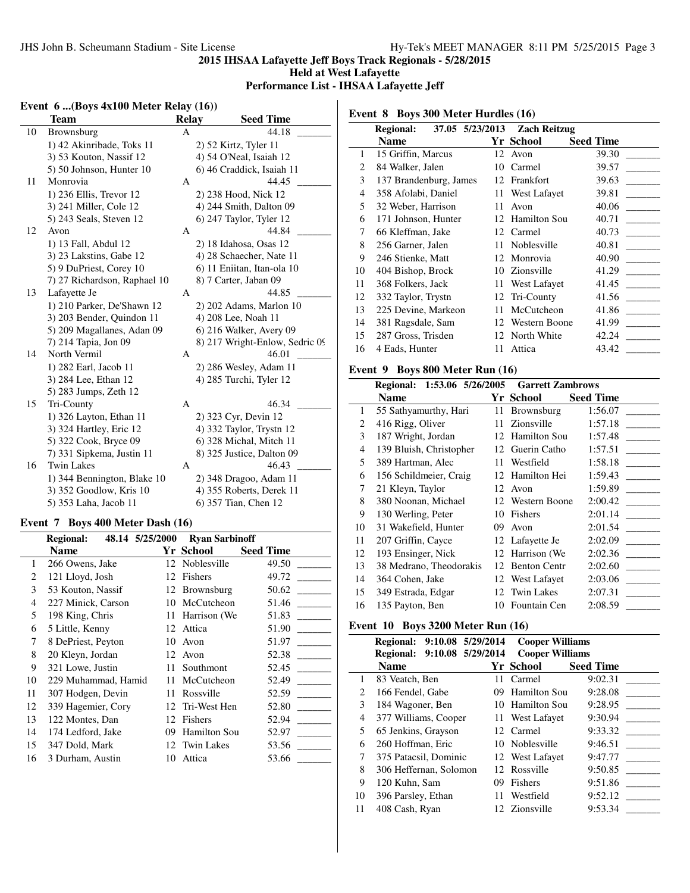**Held at West Lafayette**

# **Performance List - IHSAA Lafayette Jeff**

 $\overline{a}$ 

### **Event 6 ...(Boys 4x100 Meter Relay (16))**

|    | Team                         | <b>Relay</b> | <b>Seed Time</b>               |
|----|------------------------------|--------------|--------------------------------|
| 10 | Brownsburg                   | A            | 44.18                          |
|    | 1) 42 Akinribade, Toks 11    |              | 2) 52 Kirtz, Tyler 11          |
|    | 3) 53 Kouton, Nassif 12      |              | 4) 54 O'Neal, Isaiah 12        |
|    | 5) 50 Johnson, Hunter 10     |              | 6) 46 Craddick, Isaiah 11      |
| 11 | Monrovia                     | A            | 44.45                          |
|    | 1) 236 Ellis, Trevor 12      |              | 2) 238 Hood, Nick 12           |
|    | 3) 241 Miller, Cole 12       |              | 4) 244 Smith, Dalton 09        |
|    | 5) 243 Seals, Steven 12      |              | $6)$ 247 Taylor, Tyler 12      |
| 12 | Avon                         | A            | 44.84                          |
|    | 1) 13 Fall, Abdul 12         |              | 2) 18 Idahosa, Osas 12         |
|    | 3) 23 Lakstins, Gabe 12      |              | 4) 28 Schaecher, Nate 11       |
|    | 5) 9 DuPriest, Corey 10      |              | 6) 11 Eniitan, Itan-ola 10     |
|    | 7) 27 Richardson, Raphael 10 |              | 8) 7 Carter, Jaban 09          |
| 13 | Lafayette Je                 | А            | 44.85                          |
|    | 1) 210 Parker, De'Shawn 12   |              | 2) 202 Adams, Marlon 10        |
|    | 3) 203 Bender, Quindon 11    |              | 4) 208 Lee, Noah 11            |
|    | 5) 209 Magallanes, Adan 09   |              | 6) 216 Walker, Avery 09        |
|    | 7) 214 Tapia, Jon 09         |              | 8) 217 Wright-Enlow, Sedric 09 |
| 14 | North Vermil                 | A            | 46.01                          |
|    | 1) 282 Earl, Jacob 11        |              | 2) 286 Wesley, Adam 11         |
|    | 3) 284 Lee, Ethan 12         |              | 4) 285 Turchi, Tyler 12        |
|    | 5) 283 Jumps, Zeth 12        |              |                                |
| 15 | Tri-County                   | A            | 46.34                          |
|    | 1) 326 Layton, Ethan 11      |              | 2) 323 Cyr, Devin 12           |
|    | 3) 324 Hartley, Eric 12      |              | 4) 332 Taylor, Trystn 12       |
|    | 5) 322 Cook, Bryce 09        |              | 6) 328 Michal, Mitch 11        |
|    | 7) 331 Sipkema, Justin 11    |              | 8) 325 Justice, Dalton 09      |
| 16 | <b>Twin Lakes</b>            | A            | 46.43                          |
|    | 1) 344 Bennington, Blake 10  |              | 2) 348 Dragoo, Adam 11         |
|    | 3) 352 Goodlow, Kris 10      |              | 4) 355 Roberts, Derek 11       |
|    | 5) 353 Laha, Jacob 11        |              | 6) 357 Tian, Chen 12           |

## **Event 7 Boys 400 Meter Dash (16)**

|    | <b>Regional:</b>    | 48.14 5/25/2000 | <b>Ryan Sarbinoff</b> |                  |
|----|---------------------|-----------------|-----------------------|------------------|
|    | Name                |                 | Yr School             | <b>Seed Time</b> |
| 1  | 266 Owens, Jake     | 12              | Noblesville           | 49.50            |
| 2  | 121 Lloyd, Josh     | 12              | Fishers               | 49.72            |
| 3  | 53 Kouton, Nassif   | 12              | Brownsburg            | 50.62            |
| 4  | 227 Minick, Carson  | 10              | McCutcheon            | 51.46            |
| 5  | 198 King, Chris     | 11              | Harrison (We          | 51.83            |
| 6  | 5 Little, Kenny     | 12              | Attica                | 51.90            |
| 7  | 8 DePriest, Peyton  | 10              | Avon                  | 51.97            |
| 8  | 20 Kleyn, Jordan    | 12              | Avon                  | 52.38            |
| 9  | 321 Lowe, Justin    | 11              | Southmont             | 52.45            |
| 10 | 229 Muhammad, Hamid | 11              | McCutcheon            | 52.49            |
| 11 | 307 Hodgen, Devin   | 11              | Rossville             | 52.59            |
| 12 | 339 Hagemier, Cory  | 12              | Tri-West Hen          | 52.80            |
| 13 | 122 Montes, Dan     | 12              | Fishers               | 52.94            |
| 14 | 174 Ledford, Jake   | 09              | <b>Hamilton Sou</b>   | 52.97            |
| 15 | 347 Dold, Mark      |                 | 12 Twin Lakes         | 53.56            |
| 16 | 3 Durham, Austin    | 10              | Attica                | 53.66            |

**Event 8 Boys 300 Meter Hurdles (16)**

|    | <b>Regional:</b>       |     | 37.05 5/23/2013 Zach Reitzug |                  |
|----|------------------------|-----|------------------------------|------------------|
|    | Name                   |     | Yr School                    | <b>Seed Time</b> |
| 1  | 15 Griffin, Marcus     |     | 12 Avon                      | 39.30            |
| 2  | 84 Walker, Jalen       | 10  | Carmel                       | 39.57            |
| 3  | 137 Brandenburg, James | 12  | Frankfort                    | 39.63            |
| 4  | 358 Afolabi, Daniel    | 11  | West Lafayet                 | 39.81            |
| 5  | 32 Weber, Harrison     | 11  | Avon                         | 40.06            |
| 6  | 171 Johnson, Hunter    |     | 12 Hamilton Sou              | 40.71            |
| 7  | 66 Kleffman, Jake      |     | 12 Carmel                    | 40.73            |
| 8  | 256 Garner, Jalen      | 11  | Noblesville                  | 40.81            |
| 9  | 246 Stienke, Matt      |     | 12 Monrovia                  | 40.90            |
| 10 | 404 Bishop, Brock      | 10  | Zionsville                   | 41.29            |
| 11 | 368 Folkers, Jack      | 11  | West Lafayet                 | 41.45            |
| 12 | 332 Taylor, Trystn     |     | 12 Tri-County                | 41.56            |
| 13 | 225 Devine, Markeon    | 11  | McCutcheon                   | 41.86            |
| 14 | 381 Ragsdale, Sam      | 12. | Western Boone                | 41.99            |
| 15 | 287 Gross, Trisden     | 12  | North White                  | 42.24            |
| 16 | 4 Eads, Hunter         | 11  | Attica                       | 43.42            |

#### **Event 9 Boys 800 Meter Run (16)**

|                | Regional: 1:53.06 5/26/2005 |     | <b>Garrett Zambrows</b> |                  |
|----------------|-----------------------------|-----|-------------------------|------------------|
|                | <b>Name</b>                 |     | Yr School               | <b>Seed Time</b> |
| 1              | 55 Sathyamurthy, Hari       | 11  | Brownsburg              | 1:56.07          |
| 2              | 416 Rigg, Oliver            |     | 11 Zionsville           | 1:57.18          |
| 3              | 187 Wright, Jordan          |     | 12 Hamilton Sou         | 1:57.48          |
| $\overline{4}$ | 139 Bluish, Christopher     |     | 12 Guerin Catho         | 1:57.51          |
| 5              | 389 Hartman, Alec           | 11. | Westfield               | 1:58.18          |
| 6              | 156 Schildmeier, Craig      |     | 12 Hamilton Hei         | 1:59.43          |
| 7              | 21 Kleyn, Taylor            |     | 12 Avon                 | 1:59.89          |
| 8              | 380 Noonan, Michael         |     | 12 Western Boone        | 2:00.42          |
| 9              | 130 Werling, Peter          | 10  | Fishers                 | 2:01.14          |
| 10             | 31 Wakefield, Hunter        | 09. | Avon                    | 2:01.54          |
| 11             | 207 Griffin, Cayce          |     | 12 Lafayette Je         | 2:02.09          |
| 12             | 193 Ensinger, Nick          | 12  | Harrison (We            | 2:02.36          |
| 13             | 38 Medrano, Theodorakis     | 12  | <b>Benton Centr</b>     | 2:02.60          |
| 14             | 364 Cohen, Jake             | 12  | West Lafayet            | 2:03.06          |
| 15             | 349 Estrada, Edgar          | 12  | Twin Lakes              | 2:07.31          |
| 16             | 135 Payton, Ben             |     | 10 Fountain Cen         | 2:08.59          |

## **Event 10 Boys 3200 Meter Run (16)**

|    | Regional: 9:10.08 5/29/2014 |    | <b>Cooper Williams</b> |                  |
|----|-----------------------------|----|------------------------|------------------|
|    | Regional: 9:10.08 5/29/2014 |    | <b>Cooper Williams</b> |                  |
|    | <b>Name</b>                 |    | Yr School              | <b>Seed Time</b> |
| 1  | 83 Veatch, Ben              | 11 | Carmel                 | 9:02.31          |
| 2  | 166 Fendel, Gabe            |    | 09 Hamilton Sou        | 9:28.08          |
| 3  | 184 Wagoner, Ben            |    | 10 Hamilton Sou        | 9:28.95          |
| 4  | 377 Williams, Cooper        |    | 11 West Lafayet        | 9:30.94          |
| 5  | 65 Jenkins, Grayson         |    | 12 Carmel              | 9:33.32          |
| 6  | 260 Hoffman, Eric           |    | 10 Noblesville         | 9:46.51          |
| 7  | 375 Patacsil, Dominic       |    | 12 West Lafavet        | 9:47.77          |
| 8  | 306 Heffernan, Solomon      |    | 12 Rossville           | 9:50.85          |
| 9  | 120 Kuhn, Sam               | 09 | Fishers                | 9:51.86          |
| 10 | 396 Parsley, Ethan          | 11 | Westfield              | 9:52.12          |
| 11 | 408 Cash, Ryan              |    | 12 Zionsville          | 9:53.34          |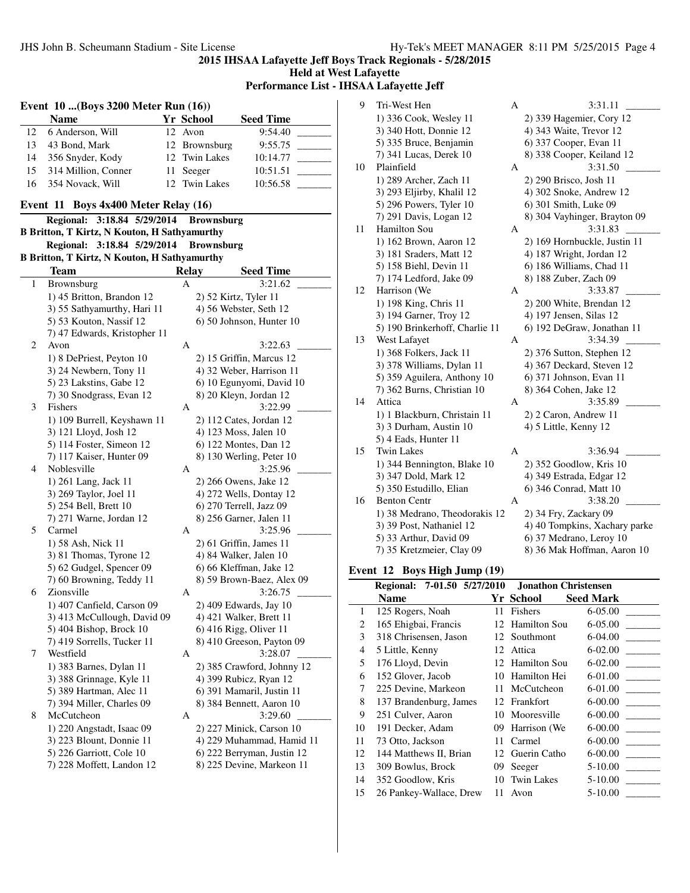**Held at West Lafayette**

**Performance List - IHSAA Lafayette Jeff**

|    | Event 10  (Boys 3200 Meter Run (16))                       |    |                   |                                                  |  |  |  |  |
|----|------------------------------------------------------------|----|-------------------|--------------------------------------------------|--|--|--|--|
|    | <b>Name</b>                                                |    | Yr School         | <b>Seed Time</b>                                 |  |  |  |  |
| 12 | 6 Anderson, Will                                           | 12 | Avon              | 9:54.40                                          |  |  |  |  |
| 13 | 43 Bond, Mark                                              | 12 | Brownsburg        | 9:55.75                                          |  |  |  |  |
| 14 | 356 Snyder, Kody                                           | 12 | <b>Twin Lakes</b> | 10:14.77                                         |  |  |  |  |
| 15 | 314 Million, Conner                                        | 11 | Seeger            | 10:51.51                                         |  |  |  |  |
| 16 | 354 Novack, Will                                           | 12 | <b>Twin Lakes</b> | 10:56.58                                         |  |  |  |  |
|    | Boys 4x400 Meter Relay (16)<br>Event 11                    |    |                   |                                                  |  |  |  |  |
|    | 3:18.84 5/29/2014<br><b>Regional:</b><br><b>Brownsburg</b> |    |                   |                                                  |  |  |  |  |
|    | <b>B Britton, T Kirtz, N Kouton, H Sathyamurthy</b>        |    |                   |                                                  |  |  |  |  |
|    | 3:18.84 5/29/2014<br><b>Regional:</b>                      |    | <b>Brownsburg</b> |                                                  |  |  |  |  |
|    | <b>B Britton, T Kirtz, N Kouton, H Sathyamurthy</b>        |    |                   |                                                  |  |  |  |  |
|    | Team                                                       |    | <b>Relay</b>      | <b>Seed Time</b>                                 |  |  |  |  |
| 1  | Brownsburg                                                 |    | A                 | 3:21.62                                          |  |  |  |  |
|    | 1) 45 Britton, Brandon 12                                  |    |                   | 2) 52 Kirtz, Tyler 11                            |  |  |  |  |
|    | 3) 55 Sathyamurthy, Hari 11                                |    |                   | 4) 56 Webster, Seth 12                           |  |  |  |  |
|    | 5) 53 Kouton, Nassif 12                                    |    |                   | 6) 50 Johnson, Hunter 10                         |  |  |  |  |
|    | 7) 47 Edwards, Kristopher 11                               |    |                   |                                                  |  |  |  |  |
| 2  | Avon                                                       |    | А                 | 3:22.63                                          |  |  |  |  |
|    | 1) 8 DePriest, Peyton 10                                   |    |                   | 2) 15 Griffin, Marcus 12                         |  |  |  |  |
|    | 3) 24 Newbern, Tony 11                                     |    |                   | 4) 32 Weber, Harrison 11                         |  |  |  |  |
|    | 5) 23 Lakstins, Gabe 12                                    |    |                   | 6) 10 Egunyomi, David 10                         |  |  |  |  |
|    | 7) 30 Snodgrass, Evan 12                                   |    |                   | 8) 20 Kleyn, Jordan 12                           |  |  |  |  |
| 3  | Fishers                                                    |    | А                 | 3:22.99                                          |  |  |  |  |
|    | 1) 109 Burrell, Keyshawn 11                                |    |                   | 2) 112 Cates, Jordan 12                          |  |  |  |  |
|    | 3) 121 Lloyd, Josh 12                                      |    |                   | 4) 123 Moss, Jalen 10                            |  |  |  |  |
|    | 5) 114 Foster, Simeon 12                                   |    |                   | 6) 122 Montes, Dan 12                            |  |  |  |  |
|    | 7) 117 Kaiser, Hunter 09                                   |    |                   | 8) 130 Werling, Peter 10                         |  |  |  |  |
| 4  | Noblesville                                                |    | А                 | 3:25.96                                          |  |  |  |  |
|    |                                                            |    |                   |                                                  |  |  |  |  |
|    | 1) 261 Lang, Jack 11<br>3) 269 Taylor, Joel 11             |    |                   | 2) 266 Owens, Jake 12<br>4) 272 Wells, Dontay 12 |  |  |  |  |
|    |                                                            |    |                   |                                                  |  |  |  |  |
|    | 5) 254 Bell, Brett 10                                      |    |                   | 6) 270 Terrell, Jazz 09                          |  |  |  |  |
|    | 7) 271 Warne, Jordan 12                                    |    |                   | 8) 256 Garner, Jalen 11                          |  |  |  |  |
| 5  | Carmel                                                     |    | А                 | 3:25.96                                          |  |  |  |  |
|    | 1) 58 Ash, Nick 11                                         |    |                   | 2) 61 Griffin, James 11                          |  |  |  |  |
|    | 3) 81 Thomas, Tyrone 12                                    |    |                   | 4) 84 Walker, Jalen 10                           |  |  |  |  |
|    | 5) 62 Gudgel, Spencer 09                                   |    |                   | 6) 66 Kleffman, Jake 12                          |  |  |  |  |
|    | 7) 60 Browning, Teddy 11                                   |    |                   | 8) 59 Brown-Baez, Alex 09                        |  |  |  |  |
| 6  | Zionsville                                                 |    | А                 | 3:26.75                                          |  |  |  |  |
|    | 1) 407 Canfield, Carson 09                                 |    |                   | 2) 409 Edwards, Jay 10                           |  |  |  |  |
|    | 3) 413 McCullough, David 09                                |    |                   | 4) 421 Walker, Brett 11                          |  |  |  |  |
|    | 5) 404 Bishop, Brock 10                                    |    |                   | 6) 416 Rigg, Oliver 11                           |  |  |  |  |
|    | 7) 419 Sorrells, Tucker 11                                 |    |                   | 8) 410 Greeson, Payton 09                        |  |  |  |  |
| 7  | Westfield                                                  |    | А                 | 3:28.07                                          |  |  |  |  |
|    | 1) 383 Barnes, Dylan 11                                    |    |                   | 2) 385 Crawford, Johnny 12                       |  |  |  |  |
|    | 3) 388 Grinnage, Kyle 11                                   |    |                   | 4) 399 Rubicz, Ryan 12                           |  |  |  |  |
|    | 5) 389 Hartman, Alec 11                                    |    |                   | 6) 391 Mamaril, Justin 11                        |  |  |  |  |
|    | 7) 394 Miller, Charles 09                                  |    |                   | 8) 384 Bennett, Aaron 10                         |  |  |  |  |
| 8  | McCutcheon                                                 |    | А                 | 3:29.60                                          |  |  |  |  |
|    | 1) 220 Angstadt, Isaac 09                                  |    |                   | 2) 227 Minick, Carson 10                         |  |  |  |  |
|    | 3) 223 Blount, Donnie 11                                   |    |                   | 4) 229 Muhammad, Hamid 11                        |  |  |  |  |
|    | 5) 226 Garriott, Cole 10                                   |    |                   | 6) 222 Berryman, Justin 12                       |  |  |  |  |
|    | 7) 228 Moffett, Landon 12                                  |    |                   | 8) 225 Devine, Markeon 11                        |  |  |  |  |
|    |                                                            |    |                   |                                                  |  |  |  |  |

| 9  | Tri-West Hen                   | А | 3:31.11                       |
|----|--------------------------------|---|-------------------------------|
|    | 1) 336 Cook, Wesley 11         |   | 2) 339 Hagemier, Cory 12      |
|    | 3) 340 Hott, Donnie 12         |   | 4) 343 Waite, Trevor 12       |
|    | 5) 335 Bruce, Benjamin         |   | 6) 337 Cooper, Evan 11        |
|    | 7) 341 Lucas, Derek 10         |   | 8) 338 Cooper, Keiland 12     |
| 10 | Plainfield                     | A | 3:31.50                       |
|    | 1) 289 Archer, Zach 11         |   | 2) 290 Brisco, Josh 11        |
|    | 3) 293 Eljirby, Khalil 12      |   | 4) 302 Snoke, Andrew 12       |
|    | 5) 296 Powers, Tyler 10        |   | 6) 301 Smith, Luke 09         |
|    | 7) 291 Davis, Logan 12         |   | 8) 304 Vayhinger, Brayton 09  |
| 11 | Hamilton Sou                   | A | 3:31.83                       |
|    | 1) 162 Brown, Aaron 12         |   | 2) 169 Hornbuckle, Justin 11  |
|    | 3) 181 Sraders, Matt 12        |   | 4) 187 Wright, Jordan 12      |
|    | 5) 158 Biehl, Devin 11         |   | 6) 186 Williams, Chad 11      |
|    | 7) 174 Ledford, Jake 09        |   | 8) 188 Zuber, Zach 09         |
| 12 | Harrison (We                   | A | 3:33.87                       |
|    | 1) 198 King, Chris 11          |   | 2) 200 White, Brendan 12      |
|    | 3) 194 Garner, Troy 12         |   | 4) 197 Jensen, Silas 12       |
|    | 5) 190 Brinkerhoff, Charlie 11 |   | 6) 192 DeGraw, Jonathan 11    |
| 13 | West Lafayet                   | А | 3:34.39                       |
|    | 1) 368 Folkers, Jack 11        |   | 2) 376 Sutton, Stephen 12     |
|    | 3) 378 Williams, Dylan 11      |   | 4) 367 Deckard, Steven 12     |
|    | 5) 359 Aguilera, Anthony 10    |   | 6) 371 Johnson, Evan 11       |
|    | 7) 362 Burns, Christian 10     |   | 8) 364 Cohen, Jake 12         |
| 14 | Attica                         | A | 3:35.89                       |
|    | 1) 1 Blackburn, Christain 11   |   | 2) 2 Caron, Andrew 11         |
|    | 3) 3 Durham, Austin 10         |   | 4) 5 Little, Kenny 12         |
|    | 5) 4 Eads, Hunter 11           |   |                               |
| 15 | <b>Twin Lakes</b>              | A | 3:36.94                       |
|    | 1) 344 Bennington, Blake 10    |   | 2) 352 Goodlow, Kris 10       |
|    | 3) 347 Dold, Mark 12           |   | 4) 349 Estrada, Edgar 12      |
|    | 5) 350 Estudillo, Elian        |   | 6) 346 Conrad, Matt 10        |
| 16 | <b>Benton Centr</b>            | A | 3:38.20                       |
|    | 1) 38 Medrano, Theodorakis 12  |   | 2) 34 Fry, Zackary 09         |
|    | 3) 39 Post, Nathaniel 12       |   | 4) 40 Tompkins, Xachary parke |
|    | 5) 33 Arthur, David 09         |   | 6) 37 Medrano, Leroy 10       |
|    | 7) 35 Kretzmeier, Clay 09      |   | 8) 36 Mak Hoffman, Aaron 10   |
|    |                                |   |                               |

# **Event 12 Boys High Jump (19)**

|    | Regional: 7-01.50 5/27/2010 |    | <b>Jonathon Christensen</b> |                  |
|----|-----------------------------|----|-----------------------------|------------------|
|    | Name                        |    | Yr School                   | <b>Seed Mark</b> |
| 1  | 125 Rogers, Noah            | 11 | Fishers                     | $6 - 05.00$      |
| 2  | 165 Ehigbai, Francis        |    | 12 Hamilton Sou             | 6-05.00          |
| 3  | 318 Chrisensen, Jason       | 12 | Southmont                   | 6-04.00          |
| 4  | 5 Little, Kenny             | 12 | Attica                      | $6 - 02.00$      |
| 5  | 176 Lloyd, Devin            |    | 12 Hamilton Sou             | $6-02.00$        |
| 6  | 152 Glover, Jacob           | 10 | Hamilton Hei                | 6-01.00          |
| 7  | 225 Devine, Markeon         | 11 | McCutcheon                  | 6-01.00          |
| 8  | 137 Brandenburg, James      |    | 12 Frankfort                | $6 - 00.00$      |
| 9  | 251 Culver, Aaron           | 10 | Mooresville                 | $6 - 00.00$      |
| 10 | 191 Decker, Adam            | 09 | Harrison (We                | $6 - 00.00$      |
| 11 | 73 Otto, Jackson            | 11 | Carmel                      | $6 - 00.00$      |
| 12 | 144 Matthews II, Brian      |    | 12 Guerin Catho             | $6 - 00.00$      |
| 13 | 309 Bowlus, Brock           | 09 | Seeger                      | $5 - 10.00$      |
| 14 | 352 Goodlow, Kris           | 10 | <b>Twin Lakes</b>           | $5 - 10.00$      |
| 15 | 26 Pankey-Wallace, Drew     | 11 | Avon                        | $5 - 10.00$      |